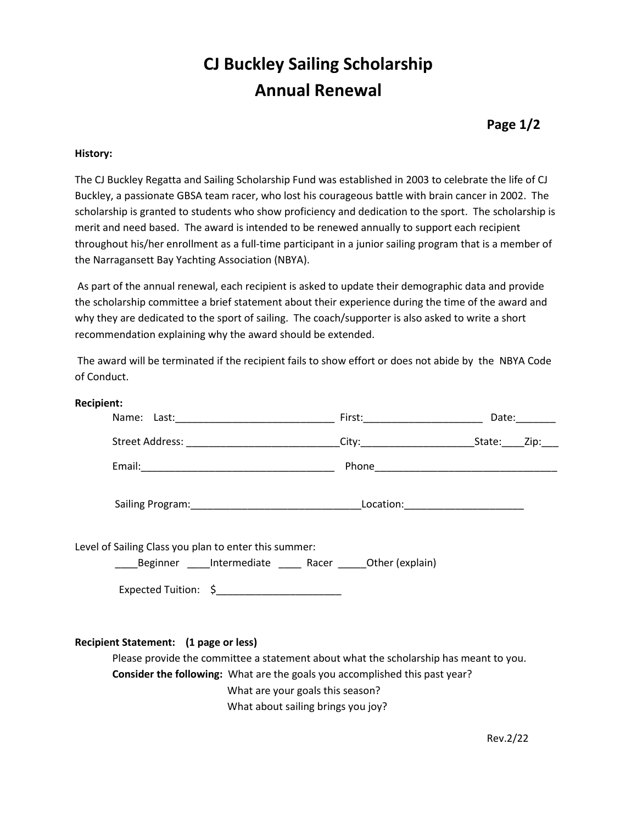# **CJ Buckley Sailing Scholarship Annual Renewal**

## **Page 1/2**

### **History:**

The CJ Buckley Regatta and Sailing Scholarship Fund was established in 2003 to celebrate the life of CJ Buckley, a passionate GBSA team racer, who lost his courageous battle with brain cancer in 2002. The scholarship is granted to students who show proficiency and dedication to the sport. The scholarship is merit and need based. The award is intended to be renewed annually to support each recipient throughout his/her enrollment as a full-time participant in a junior sailing program that is a member of the Narragansett Bay Yachting Association (NBYA).

As part of the annual renewal, each recipient is asked to update their demographic data and provide the scholarship committee a brief statement about their experience during the time of the award and why they are dedicated to the sport of sailing. The coach/supporter is also asked to write a short recommendation explaining why the award should be extended.

The award will be terminated if the recipient fails to show effort or does not abide by the NBYA Code of Conduct.

| <b>Recipient:</b>                                                                                               |                                                                                                                                                                                                                                                |       |
|-----------------------------------------------------------------------------------------------------------------|------------------------------------------------------------------------------------------------------------------------------------------------------------------------------------------------------------------------------------------------|-------|
| Name: Last: 1990 - 1990 - 1991 - 1992 - 1994 - 1994 - 1994 - 1994 - 1994 - 1994 - 1994 - 1994 - 1994 - 1995 - 1 |                                                                                                                                                                                                                                                | Date: |
| Street Address: _________________________________                                                               |                                                                                                                                                                                                                                                |       |
|                                                                                                                 |                                                                                                                                                                                                                                                |       |
|                                                                                                                 |                                                                                                                                                                                                                                                |       |
| Level of Sailing Class you plan to enter this summer:                                                           | Beginner ____Intermediate _____ Racer _____Other (explain)<br>Expected Tuition: \$                                                                                                                                                             |       |
| Recipient Statement: (1 page or less)                                                                           | Please provide the committee a statement about what the scholarship has meant to you.<br>Consider the following: What are the goals you accomplished this past year?<br>What are your goals this season?<br>What about sailing brings you joy? |       |